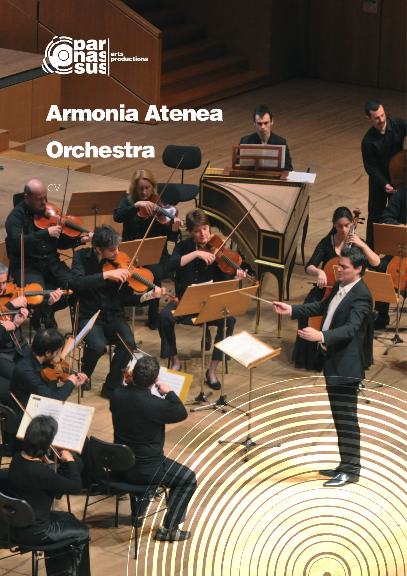

## **Armonia Atenea** Orchestra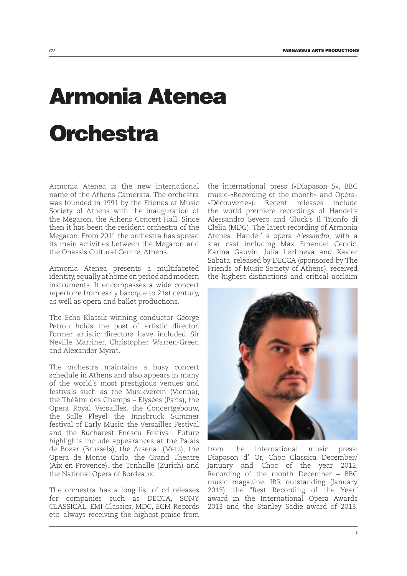## Armonia Atenea **Orchestra**

Armonia Atenea is the new international name of the Athens Camerata. The orchestra was founded in 1991 by the Friends of Music Society of Athens with the inauguration of the Megaron, the Athens Concert Hall. Since then it has been the resident orchestra of the Megaron. From 2011 the orchestra has spread its main activities between the Megaron and the Onassis Cultural Centre, Athens.

Armonia Atenea presents a multifaceted identity, equally at home on period and modern instruments. It encompasses a wide concert repertoire from early baroque to 21st century, as well as opera and ballet productions.

The Echo Klassik winning conductor George Petrou holds the post of artistic director. Former artistic directors have included Sir Neville Marriner, Christopher Warren-Green and Alexander Myrat.

The orchestra maintains a busy concert schedule in Athens and also appears in many of the world's most prestigious venues and festivals such as the Musikverein (Vienna), the Théâtre des Champs – Elysées (Paris), the Opera Royal Versailles, the Concertgebouw, the Salle Pleyel the Innsbruck Summer festival of Early Music, the Versailles Festival and the Bucharest Enescu Festival. Future highlights include appearances at the Palais de Bozar (Brussels), the Arsenal (Metz), the Opera de Monte Carlo, the Grand Theatre (Aix-en-Provence), the Tonhalle (Zurich) and the National Opera of Bordeaux.

The orchestra has a long list of cd releases for companies such as DECCA, SONY CLASSICAL, EMI Classics, MDG, ECM Records etc. always receiving the highest praise from

the international press («Diapason 5», BBC music-«Recording of the month» and Opéra- «Découverte»). Recent releases include the world premiere recordings of Handel's Alessandro Severo and Gluck's Il Trionfo di Clelia (MDG). The latest recording of Armonia Atenea, Handel' s opera *Alessandro*, with a star cast including Max Emanuel Cencic, Karina Gauvin, Julia Lezhneva and Xavier Sabata, released by DECCA (sponsored by The Friends of Music Society of Athens), received the highest distinctions and critical acclaim



from the international music press: Diapason d' Or, Choc Classica December/ January and Choc of the year 2012, Recording of the month December – BBC music magazine, IRR outstanding (January 2013), the "Best Recording of the Year" award in the International Opera Awards 2013 and the Stanley Sadie award of 2013.